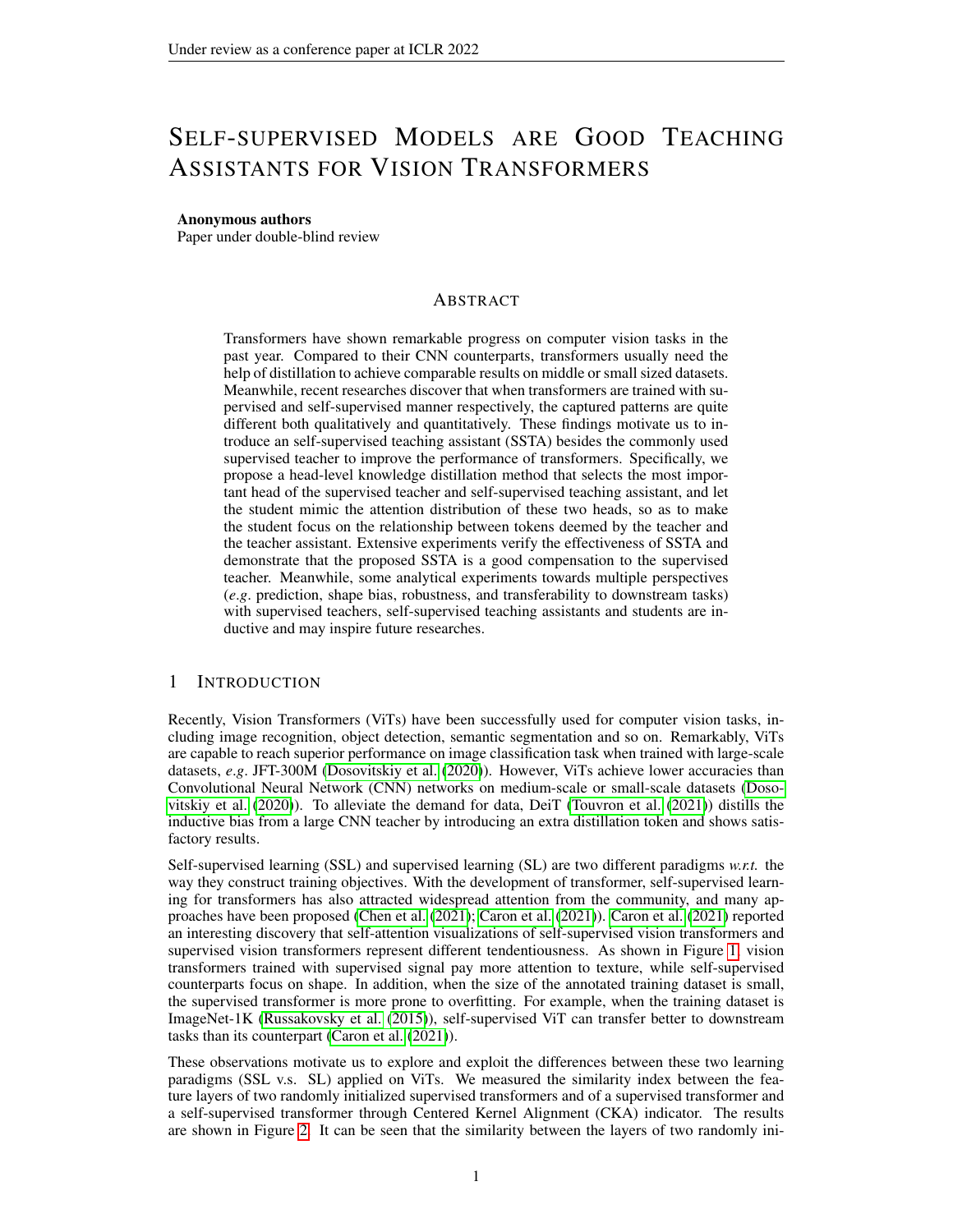# SELF-SUPERVISED MODELS ARE GOOD TEACHING ASSISTANTS FOR VISION TRANSFORMERS

#### Anonymous authors

Paper under double-blind review

# ABSTRACT

Transformers have shown remarkable progress on computer vision tasks in the past year. Compared to their CNN counterparts, transformers usually need the help of distillation to achieve comparable results on middle or small sized datasets. Meanwhile, recent researches discover that when transformers are trained with supervised and self-supervised manner respectively, the captured patterns are quite different both qualitatively and quantitatively. These findings motivate us to introduce an self-supervised teaching assistant (SSTA) besides the commonly used supervised teacher to improve the performance of transformers. Specifically, we propose a head-level knowledge distillation method that selects the most important head of the supervised teacher and self-supervised teaching assistant, and let the student mimic the attention distribution of these two heads, so as to make the student focus on the relationship between tokens deemed by the teacher and the teacher assistant. Extensive experiments verify the effectiveness of SSTA and demonstrate that the proposed SSTA is a good compensation to the supervised teacher. Meanwhile, some analytical experiments towards multiple perspectives (*e*.*g*. prediction, shape bias, robustness, and transferability to downstream tasks) with supervised teachers, self-supervised teaching assistants and students are inductive and may inspire future researches.

## 1 INTRODUCTION

Recently, Vision Transformers (ViTs) have been successfully used for computer vision tasks, including image recognition, object detection, semantic segmentation and so on. Remarkably, ViTs are capable to reach superior performance on image classification task when trained with large-scale datasets, *e*.*g*. JFT-300M [\(Dosovitskiy et al.](#page-9-0) [\(2020\)](#page-9-0)). However, ViTs achieve lower accuracies than Convolutional Neural Network (CNN) networks on medium-scale or small-scale datasets [\(Doso](#page-9-0)[vitskiy et al.](#page-9-0) [\(2020\)](#page-9-0)). To alleviate the demand for data, DeiT [\(Touvron et al.](#page-10-0) [\(2021\)](#page-10-0)) distills the inductive bias from a large CNN teacher by introducing an extra distillation token and shows satisfactory results.

Self-supervised learning (SSL) and supervised learning (SL) are two different paradigms *w.r.t.* the way they construct training objectives. With the development of transformer, self-supervised learning for transformers has also attracted widespread attention from the community, and many approaches have been proposed [\(Chen et al.](#page-9-1) [\(2021\)](#page-9-1); [Caron et al.](#page-9-2) [\(2021\)](#page-9-2)). [Caron et al.](#page-9-2) [\(2021\)](#page-9-2) reported an interesting discovery that self-attention visualizations of self-supervised vision transformers and supervised vision transformers represent different tendentiousness. As shown in Figure [1,](#page-1-0) vision transformers trained with supervised signal pay more attention to texture, while self-supervised counterparts focus on shape. In addition, when the size of the annotated training dataset is small, the supervised transformer is more prone to overfitting. For example, when the training dataset is ImageNet-1K [\(Russakovsky et al.](#page-10-1) [\(2015\)](#page-10-1)), self-supervised ViT can transfer better to downstream tasks than its counterpart [\(Caron et al.](#page-9-2) [\(2021\)](#page-9-2)).

These observations motivate us to explore and exploit the differences between these two learning paradigms (SSL v.s. SL) applied on ViTs. We measured the similarity index between the feature layers of two randomly initialized supervised transformers and of a supervised transformer and a self-supervised transformer through Centered Kernel Alignment (CKA) indicator. The results are shown in Figure [2.](#page-1-1) It can be seen that the similarity between the layers of two randomly ini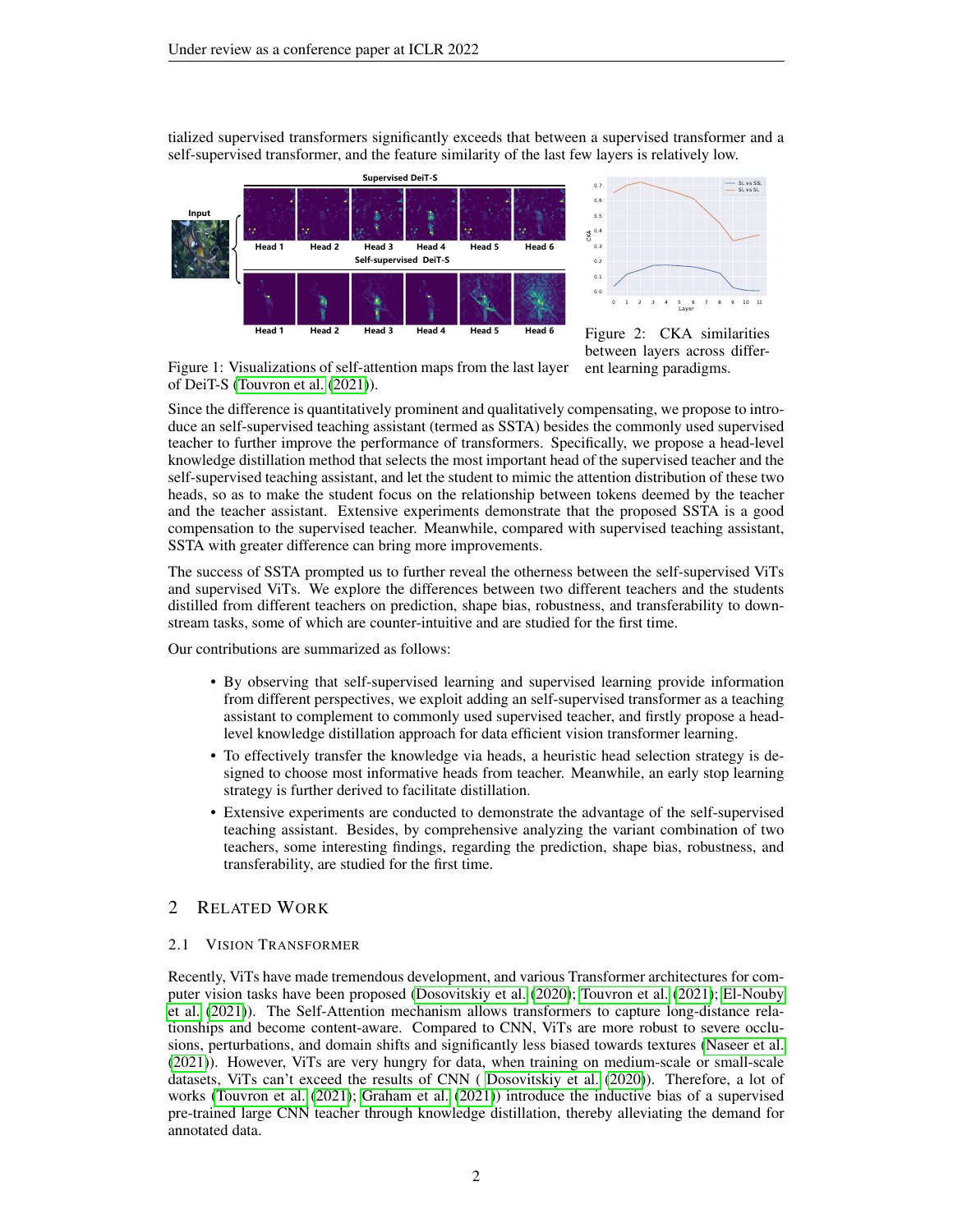tialized supervised transformers significantly exceeds that between a supervised transformer and a self-supervised transformer, and the feature similarity of the last few layers is relatively low.





<span id="page-1-1"></span>Figure 2: CKA similarities between layers across different learning paradigms.

<span id="page-1-0"></span>Figure 1: Visualizations of self-attention maps from the last layer of DeiT-S [\(Touvron et al.](#page-10-0) [\(2021\)](#page-10-0)).

Since the difference is quantitatively prominent and qualitatively compensating, we propose to introduce an self-supervised teaching assistant (termed as SSTA) besides the commonly used supervised teacher to further improve the performance of transformers. Specifically, we propose a head-level knowledge distillation method that selects the most important head of the supervised teacher and the self-supervised teaching assistant, and let the student to mimic the attention distribution of these two heads, so as to make the student focus on the relationship between tokens deemed by the teacher and the teacher assistant. Extensive experiments demonstrate that the proposed SSTA is a good compensation to the supervised teacher. Meanwhile, compared with supervised teaching assistant, SSTA with greater difference can bring more improvements.

The success of SSTA prompted us to further reveal the otherness between the self-supervised ViTs and supervised ViTs. We explore the differences between two different teachers and the students distilled from different teachers on prediction, shape bias, robustness, and transferability to downstream tasks, some of which are counter-intuitive and are studied for the first time.

Our contributions are summarized as follows:

- By observing that self-supervised learning and supervised learning provide information from different perspectives, we exploit adding an self-supervised transformer as a teaching assistant to complement to commonly used supervised teacher, and firstly propose a headlevel knowledge distillation approach for data efficient vision transformer learning.
- To effectively transfer the knowledge via heads, a heuristic head selection strategy is designed to choose most informative heads from teacher. Meanwhile, an early stop learning strategy is further derived to facilitate distillation.
- Extensive experiments are conducted to demonstrate the advantage of the self-supervised teaching assistant. Besides, by comprehensive analyzing the variant combination of two teachers, some interesting findings, regarding the prediction, shape bias, robustness, and transferability, are studied for the first time.

## 2 RELATED WORK

## 2.1 VISION TRANSFORMER

Recently, ViTs have made tremendous development, and various Transformer architectures for computer vision tasks have been proposed [\(Dosovitskiy et al.](#page-9-0) [\(2020\)](#page-9-0); [Touvron et al.](#page-10-0) [\(2021\)](#page-10-0); [El-Nouby](#page-9-3) [et al.](#page-9-3) [\(2021\)](#page-9-3)). The Self-Attention mechanism allows transformers to capture long-distance relationships and become content-aware. Compared to CNN, ViTs are more robust to severe occlusions, perturbations, and domain shifts and significantly less biased towards textures [\(Naseer et al.](#page-10-2) [\(2021\)](#page-10-2)). However, ViTs are very hungry for data, when training on medium-scale or small-scale datasets, ViTs can't exceed the results of CNN ( [Dosovitskiy et al.](#page-9-0) [\(2020\)](#page-9-0)). Therefore, a lot of works [\(Touvron et al.](#page-10-0) [\(2021\)](#page-10-0); [Graham et al.](#page-9-4) [\(2021\)](#page-9-4)) introduce the inductive bias of a supervised pre-trained large CNN teacher through knowledge distillation, thereby alleviating the demand for annotated data.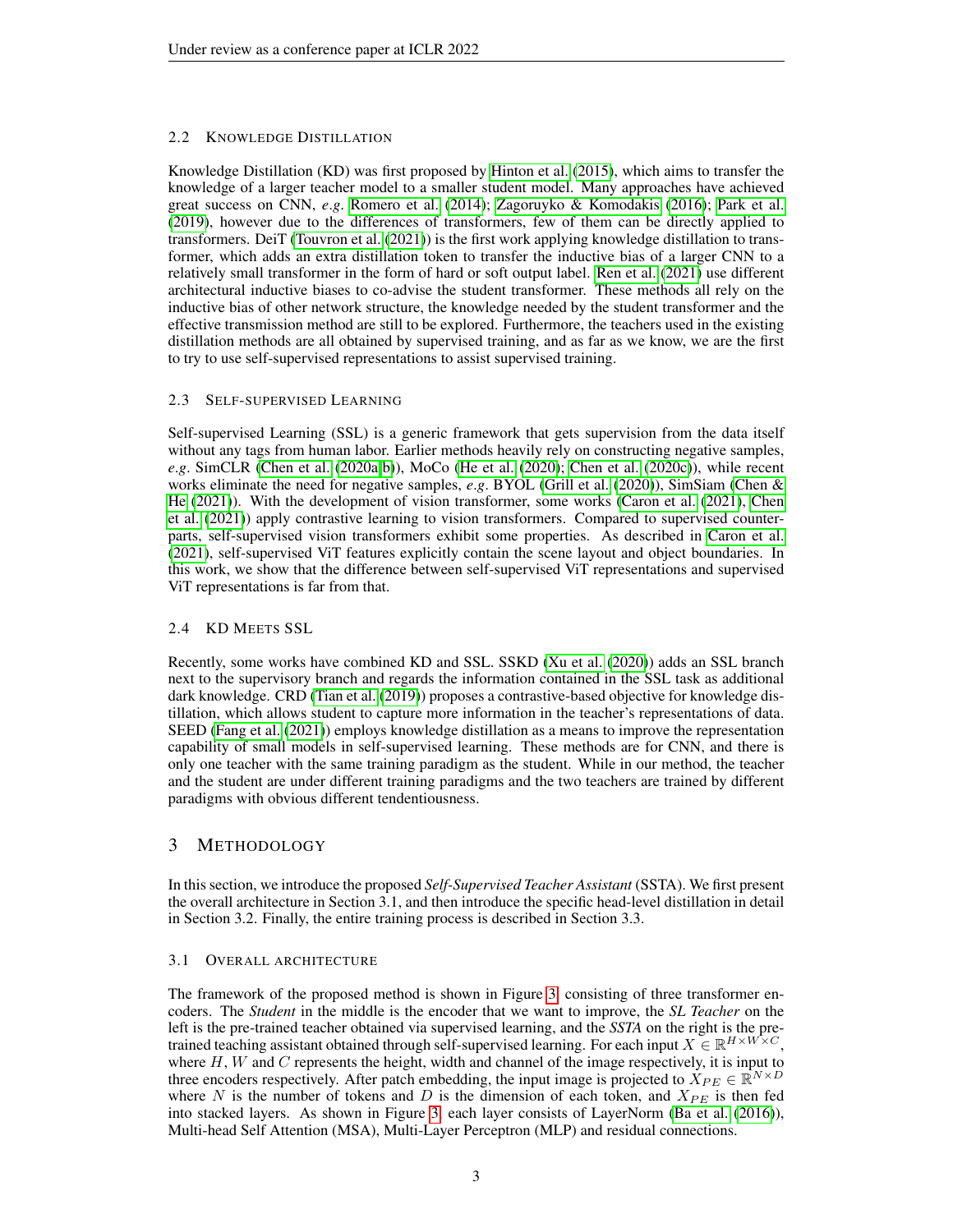# 2.2 KNOWLEDGE DISTILLATION

Knowledge Distillation (KD) was first proposed by [Hinton et al.](#page-9-5) [\(2015\)](#page-9-5), which aims to transfer the knowledge of a larger teacher model to a smaller student model. Many approaches have achieved great success on CNN, *e*.*g*. [Romero et al.](#page-10-3) [\(2014\)](#page-10-3); [Zagoruyko & Komodakis](#page-10-4) [\(2016\)](#page-10-4); [Park et al.](#page-10-5) [\(2019\)](#page-10-5), however due to the differences of transformers, few of them can be directly applied to transformers. DeiT [\(Touvron et al.](#page-10-0) [\(2021\)](#page-10-0)) is the first work applying knowledge distillation to transformer, which adds an extra distillation token to transfer the inductive bias of a larger CNN to a relatively small transformer in the form of hard or soft output label. [Ren et al.](#page-10-6) [\(2021\)](#page-10-6) use different architectural inductive biases to co-advise the student transformer. These methods all rely on the inductive bias of other network structure, the knowledge needed by the student transformer and the effective transmission method are still to be explored. Furthermore, the teachers used in the existing distillation methods are all obtained by supervised training, and as far as we know, we are the first to try to use self-supervised representations to assist supervised training.

## 2.3 SELF-SUPERVISED LEARNING

Self-supervised Learning (SSL) is a generic framework that gets supervision from the data itself without any tags from human labor. Earlier methods heavily rely on constructing negative samples, *e*.*g*. SimCLR [\(Chen et al.](#page-9-6) [\(2020a;](#page-9-6)[b\)](#page-9-7)), MoCo [\(He et al.](#page-9-8) [\(2020\)](#page-9-8); [Chen et al.](#page-9-9) [\(2020c\)](#page-9-9)), while recent works eliminate the need for negative samples, *e*.*g*. BYOL [\(Grill et al.](#page-9-10) [\(2020\)](#page-9-10)), SimSiam [\(Chen &](#page-9-11) [He](#page-9-11) [\(2021\)](#page-9-11)). With the development of vision transformer, some works [\(Caron et al.](#page-9-2) [\(2021\)](#page-9-2), [Chen](#page-9-1) [et al.](#page-9-1) [\(2021\)](#page-9-1)) apply contrastive learning to vision transformers. Compared to supervised counterparts, self-supervised vision transformers exhibit some properties. As described in [Caron et al.](#page-9-2) [\(2021\)](#page-9-2), self-supervised ViT features explicitly contain the scene layout and object boundaries. In this work, we show that the difference between self-supervised ViT representations and supervised ViT representations is far from that.

# 2.4 KD MEETS SSL

Recently, some works have combined KD and SSL. SSKD [\(Xu et al.](#page-10-7) [\(2020\)](#page-10-7)) adds an SSL branch next to the supervisory branch and regards the information contained in the SSL task as additional dark knowledge. CRD [\(Tian et al.](#page-10-8) [\(2019\)](#page-10-8)) proposes a contrastive-based objective for knowledge distillation, which allows student to capture more information in the teacher's representations of data. SEED [\(Fang et al.](#page-9-12) [\(2021\)](#page-9-12)) employs knowledge distillation as a means to improve the representation capability of small models in self-supervised learning. These methods are for CNN, and there is only one teacher with the same training paradigm as the student. While in our method, the teacher and the student are under different training paradigms and the two teachers are trained by different paradigms with obvious different tendentiousness.

# 3 METHODOLOGY

In this section, we introduce the proposed *Self-Supervised Teacher Assistant* (SSTA). We first present the overall architecture in Section 3.1, and then introduce the specific head-level distillation in detail in Section 3.2. Finally, the entire training process is described in Section 3.3.

## 3.1 OVERALL ARCHITECTURE

The framework of the proposed method is shown in Figure [3,](#page-3-0) consisting of three transformer encoders. The *Student* in the middle is the encoder that we want to improve, the *SL Teacher* on the left is the pre-trained teacher obtained via supervised learning, and the *SSTA* on the right is the pretrained teaching assistant obtained through self-supervised learning. For each input  $X \in \mathbb{R}^{H \times W \times C}$ , where  $H, W$  and  $C$  represents the height, width and channel of the image respectively, it is input to three encoders respectively. After patch embedding, the input image is projected to  $X_{PE} \in \mathbb{R}^{N \times D}$ where N is the number of tokens and D is the dimension of each token, and  $X_{PE}$  is then fed into stacked layers. As shown in Figure [3,](#page-3-0) each layer consists of LayerNorm [\(Ba et al.](#page-9-13) [\(2016\)](#page-9-13)), Multi-head Self Attention (MSA), Multi-Layer Perceptron (MLP) and residual connections.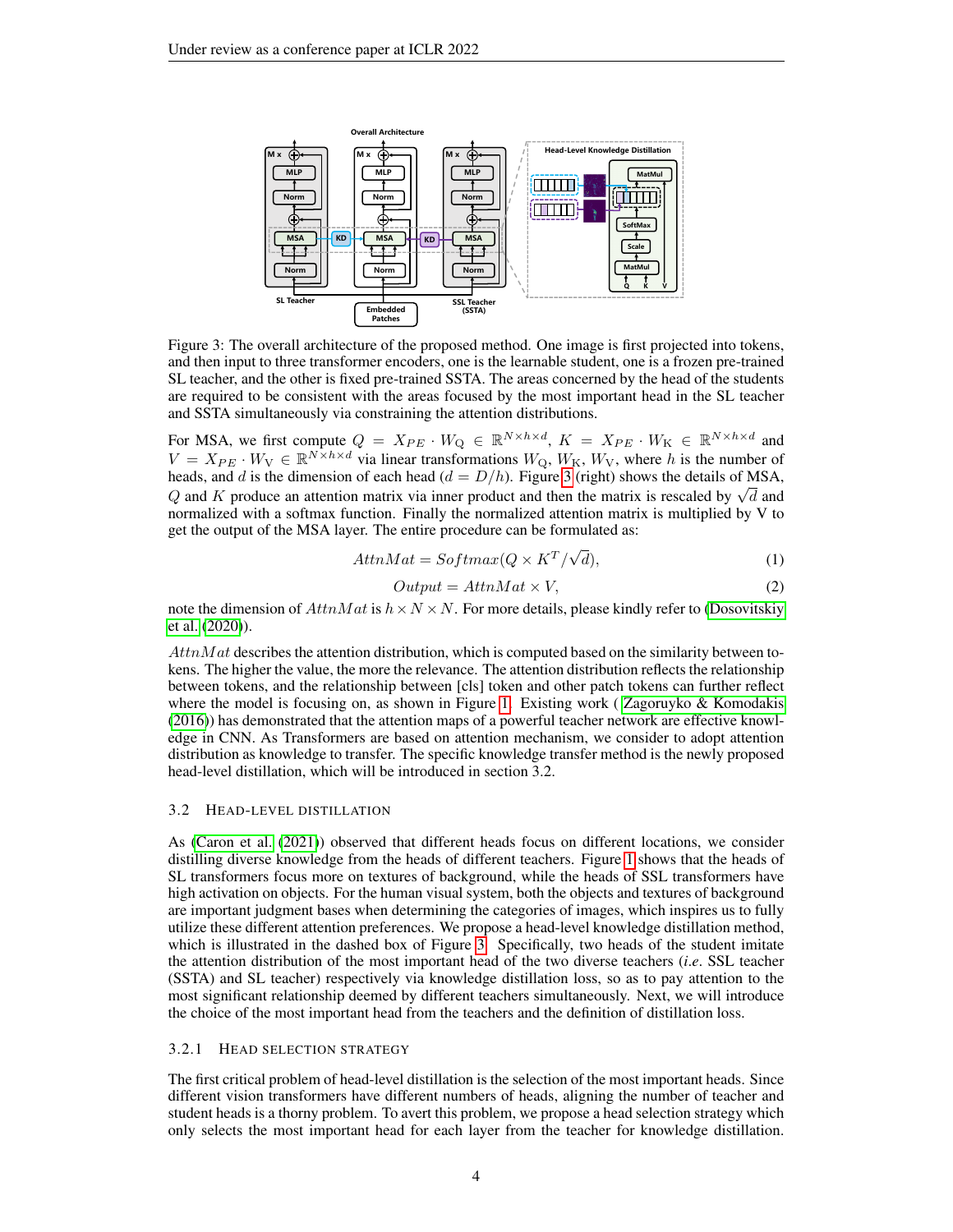

<span id="page-3-0"></span>Figure 3: The overall architecture of the proposed method. One image is first projected into tokens, and then input to three transformer encoders, one is the learnable student, one is a frozen pre-trained SL teacher, and the other is fixed pre-trained SSTA. The areas concerned by the head of the students are required to be consistent with the areas focused by the most important head in the SL teacher and SSTA simultaneously via constraining the attention distributions.

For MSA, we first compute  $Q = X_{PE} \cdot W_Q \in \mathbb{R}^{N \times h \times d}$ ,  $K = X_{PE} \cdot W_K \in \mathbb{R}^{N \times h \times d}$  and  $V = X_{PE} \cdot W_{V} \in \mathbb{R}^{N \times h \times d}$  via linear transformations  $W_{Q}$ ,  $W_{K}$ ,  $W_{V}$ , where h is the number of heads, and d is the dimension of each head  $(d = D/h)$ . Figure [3](#page-3-0) (right) shows the details of MSA, meads, and a is the dimension of each head  $(a = D/n)$ . Figure 3 (right) shows the details of MSA,  $Q$  and K produce an attention matrix via inner product and then the matrix is rescaled by  $\sqrt{d}$  and normalized with a softmax function. Finally the normalized attention matrix is multiplied by V to get the output of the MSA layer. The entire procedure can be formulated as:

<span id="page-3-1"></span>
$$
AttnMat = Softmax(Q \times K^T / \sqrt{d}), \qquad (1)
$$

$$
Output = AttnMat \times V,
$$
\n<sup>(2)</sup>

note the dimension of  $AttnMat$  is  $h \times N \times N$ . For more details, please kindly refer to [\(Dosovitskiy](#page-9-0) [et al.](#page-9-0) [\(2020\)](#page-9-0)).

 $AttnMat$  describes the attention distribution, which is computed based on the similarity between tokens. The higher the value, the more the relevance. The attention distribution reflects the relationship between tokens, and the relationship between [cls] token and other patch tokens can further reflect where the model is focusing on, as shown in Figure [1.](#page-3-1) Existing work (Zagoruyko & Komodakis [\(2016\)](#page-10-4)) has demonstrated that the attention maps of a powerful teacher network are effective knowledge in CNN. As Transformers are based on attention mechanism, we consider to adopt attention distribution as knowledge to transfer. The specific knowledge transfer method is the newly proposed head-level distillation, which will be introduced in section 3.2.

#### 3.2 HEAD-LEVEL DISTILLATION

As [\(Caron et al.](#page-9-2) [\(2021\)](#page-9-2)) observed that different heads focus on different locations, we consider distilling diverse knowledge from the heads of different teachers. Figure [1](#page-3-1) shows that the heads of SL transformers focus more on textures of background, while the heads of SSL transformers have high activation on objects. For the human visual system, both the objects and textures of background are important judgment bases when determining the categories of images, which inspires us to fully utilize these different attention preferences. We propose a head-level knowledge distillation method, which is illustrated in the dashed box of Figure [3.](#page-3-0) Specifically, two heads of the student imitate the attention distribution of the most important head of the two diverse teachers (*i*.*e*. SSL teacher (SSTA) and SL teacher) respectively via knowledge distillation loss, so as to pay attention to the most significant relationship deemed by different teachers simultaneously. Next, we will introduce the choice of the most important head from the teachers and the definition of distillation loss.

## 3.2.1 HEAD SELECTION STRATEGY

The first critical problem of head-level distillation is the selection of the most important heads. Since different vision transformers have different numbers of heads, aligning the number of teacher and student heads is a thorny problem. To avert this problem, we propose a head selection strategy which only selects the most important head for each layer from the teacher for knowledge distillation.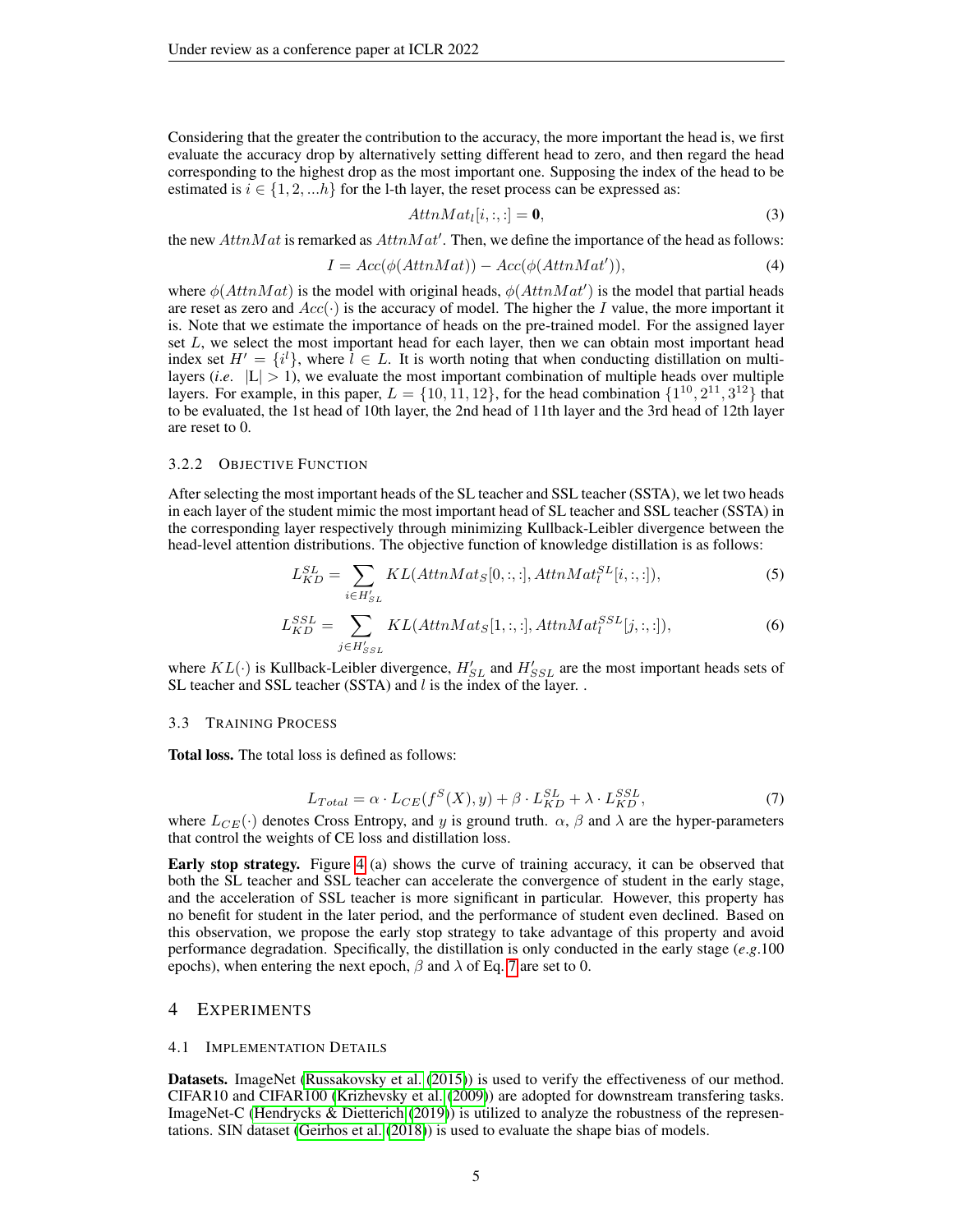Considering that the greater the contribution to the accuracy, the more important the head is, we first evaluate the accuracy drop by alternatively setting different head to zero, and then regard the head corresponding to the highest drop as the most important one. Supposing the index of the head to be estimated is  $i \in \{1, 2, \ldots h\}$  for the 1-th layer, the reset process can be expressed as:

$$
AttnMat_l[i, :, :] = 0,
$$
\n(3)

the new  $AttnMat$  is remarked as  $AttnMat'$ . Then, we define the importance of the head as follows:

$$
I = Acc(\phi(AttnMat)) - Acc(\phi(AttnMat')), \qquad (4)
$$

where  $\phi(AttnMat)$  is the model with original heads,  $\phi(AttnMat')$  is the model that partial heads are reset as zero and  $Acc(\cdot)$  is the accuracy of model. The higher the I value, the more important it is. Note that we estimate the importance of heads on the pre-trained model. For the assigned layer set  $L$ , we select the most important head for each layer, then we can obtain most important head index set  $H' = \{i^l\}$ , where  $\hat{l} \in L$ . It is worth noting that when conducting distillation on multilayers (*i.e.*  $|L| > 1$ ), we evaluate the most important combination of multiple heads over multiple layers. For example, in this paper,  $L = \{10, 11, 12\}$ , for the head combination  $\{1^{10}, 2^{11}, 3^{12}\}$  that to be evaluated, the 1st head of 10th layer, the 2nd head of 11th layer and the 3rd head of 12th layer are reset to 0.

## 3.2.2 OBJECTIVE FUNCTION

After selecting the most important heads of the SL teacher and SSL teacher (SSTA), we let two heads in each layer of the student mimic the most important head of SL teacher and SSL teacher (SSTA) in the corresponding layer respectively through minimizing Kullback-Leibler divergence between the head-level attention distributions. The objective function of knowledge distillation is as follows:

$$
L_{KD}^{SL} = \sum_{i \in H'_{SL}} KL(AttnMat_S[0, :, :, ], AttnMat_I^{SL}[i, :, :]),
$$
\n
$$
(5)
$$

$$
L_{KD}^{SSL} = \sum_{j \in H'_{SSL}} KL(AttnMat_S[1, :, :, ], AttnMat_l^{SSL}[j, :, :]),
$$
\n(6)

where  $KL(\cdot)$  is Kullback-Leibler divergence,  $H_{SL}'$  and  $H_{SSL}'$  are the most important heads sets of SL teacher and SSL teacher (SSTA) and  $l$  is the index of the layer. .

## 3.3 TRAINING PROCESS

Total loss. The total loss is defined as follows:

<span id="page-4-0"></span>
$$
L_{Total} = \alpha \cdot L_{CE}(f^S(X), y) + \beta \cdot L_{KD}^{SL} + \lambda \cdot L_{KD}^{SSL},
$$
\n(7)

where  $L_{CE}(\cdot)$  denotes Cross Entropy, and y is ground truth.  $\alpha$ ,  $\beta$  and  $\lambda$  are the hyper-parameters that control the weights of CE loss and distillation loss.

Early stop strategy. Figure [4](#page-5-0) (a) shows the curve of training accuracy, it can be observed that both the SL teacher and SSL teacher can accelerate the convergence of student in the early stage, and the acceleration of SSL teacher is more significant in particular. However, this property has no benefit for student in the later period, and the performance of student even declined. Based on this observation, we propose the early stop strategy to take advantage of this property and avoid performance degradation. Specifically, the distillation is only conducted in the early stage (*e*.*g*.100 epochs), when entering the next epoch,  $\beta$  and  $\lambda$  of Eq. [7](#page-4-0) are set to 0.

## 4 EXPERIMENTS

#### 4.1 IMPLEMENTATION DETAILS

Datasets. ImageNet [\(Russakovsky et al.](#page-10-1) [\(2015\)](#page-10-1)) is used to verify the effectiveness of our method. CIFAR10 and CIFAR100 [\(Krizhevsky et al.](#page-10-9) [\(2009\)](#page-10-9)) are adopted for downstream transfering tasks. ImageNet-C [\(Hendrycks & Dietterich](#page-9-14) [\(2019\)](#page-9-14)) is utilized to analyze the robustness of the representations. SIN dataset [\(Geirhos et al.](#page-9-15) [\(2018\)](#page-9-15)) is used to evaluate the shape bias of models.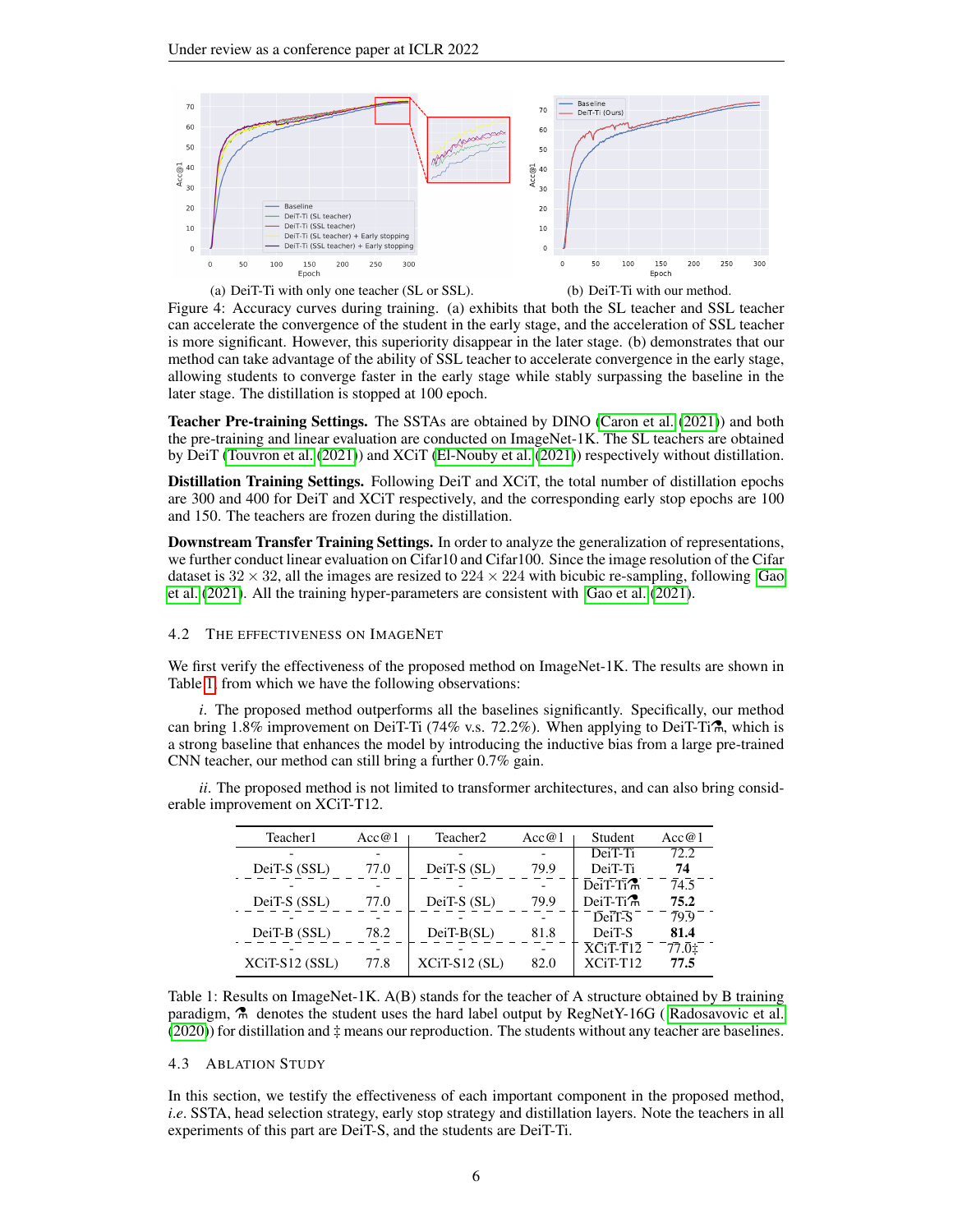

<span id="page-5-0"></span>

(b) DeiT-Ti with our method.

Figure 4: Accuracy curves during training. (a) exhibits that both the SL teacher and SSL teacher can accelerate the convergence of the student in the early stage, and the acceleration of SSL teacher is more significant. However, this superiority disappear in the later stage. (b) demonstrates that our method can take advantage of the ability of SSL teacher to accelerate convergence in the early stage, allowing students to converge faster in the early stage while stably surpassing the baseline in the later stage. The distillation is stopped at 100 epoch.

Teacher Pre-training Settings. The SSTAs are obtained by DINO [\(Caron et al.](#page-9-2) [\(2021\)](#page-9-2)) and both the pre-training and linear evaluation are conducted on ImageNet-1K. The SL teachers are obtained by DeiT [\(Touvron et al.](#page-10-0) [\(2021\)](#page-10-0)) and XCiT [\(El-Nouby et al.](#page-9-3) [\(2021\)](#page-9-3)) respectively without distillation.

Distillation Training Settings. Following DeiT and XCiT, the total number of distillation epochs are 300 and 400 for DeiT and XCiT respectively, and the corresponding early stop epochs are 100 and 150. The teachers are frozen during the distillation.

Downstream Transfer Training Settings. In order to analyze the generalization of representations, we further conduct linear evaluation on Cifar10 and Cifar100. Since the image resolution of the Cifar dataset is  $32 \times 32$ , all the images are resized to  $224 \times 224$  with bicubic re-sampling, following [Gao](#page-9-16) [et al.](#page-9-16) [\(2021\)](#page-9-16). All the training hyper-parameters are consistent with [Gao et al.](#page-9-16) [\(2021\)](#page-9-16).

## 4.2 THE EFFECTIVENESS ON IMAGENET

We first verify the effectiveness of the proposed method on ImageNet-1K. The results are shown in Table [1,](#page-5-1) from which we have the following observations:

*i*. The proposed method outperforms all the baselines significantly. Specifically, our method can bring  $1.8\%$  improvement on DeiT-Ti (74% v.s. 72.2%). When applying to DeiT-Ti $\hat{\tau}$ , which is a strong baseline that enhances the model by introducing the inductive bias from a large pre-trained CNN teacher, our method can still bring a further 0.7% gain.

*ii*. The proposed method is not limited to transformer architectures, and can also bring considerable improvement on XCiT-T12.

| Teacher1        | Acc@1 | Teacher <sub>2</sub><br>Acc@1 |      | Student                                         | Acc@1 |
|-----------------|-------|-------------------------------|------|-------------------------------------------------|-------|
|                 |       |                               |      | DeiT-Ti                                         | 72.2  |
| DeiT-S (SSL)    | 77.0  | DeiT- $S(SL)$                 | 79.9 | DeiT-Ti                                         | 74    |
|                 |       |                               |      | $\overline{\text{Dei}}$ T-Ti $\mathcal{T}$      | 74.5  |
| DeiT-S (SSL)    | 77.0  | DeiT- $S(SL)$                 | 79.9 | $DeiT-Ti$                                       | 75.2  |
|                 |       |                               |      | DeiT-S                                          | 79.9  |
| DeiT-B (SSL)    | 78.2  | $DeiT-B(SL)$                  | 81.8 | DeiT-S                                          | 81.4  |
|                 |       |                               |      | $\overline{X}$ Ci <sub>T</sub> -T <sub>12</sub> | 77.01 |
| $XCIT-S12(SSL)$ | 77.8  | $XCIT-S12(SL)$                | 82.0 | $XCI-T12$                                       | 77.5  |

<span id="page-5-1"></span>Table 1: Results on ImageNet-1K. A(B) stands for the teacher of A structure obtained by B training paradigm,  $\hat{A}$  denotes the student uses the hard label output by RegNetY-16G (Radosavovic et al. [\(2020\)](#page-10-10)) for distillation and ‡ means our reproduction. The students without any teacher are baselines.

#### 4.3 ABLATION STUDY

In this section, we testify the effectiveness of each important component in the proposed method, *i.e.* SSTA, head selection strategy, early stop strategy and distillation layers. Note the teachers in all experiments of this part are DeiT-S, and the students are DeiT-Ti.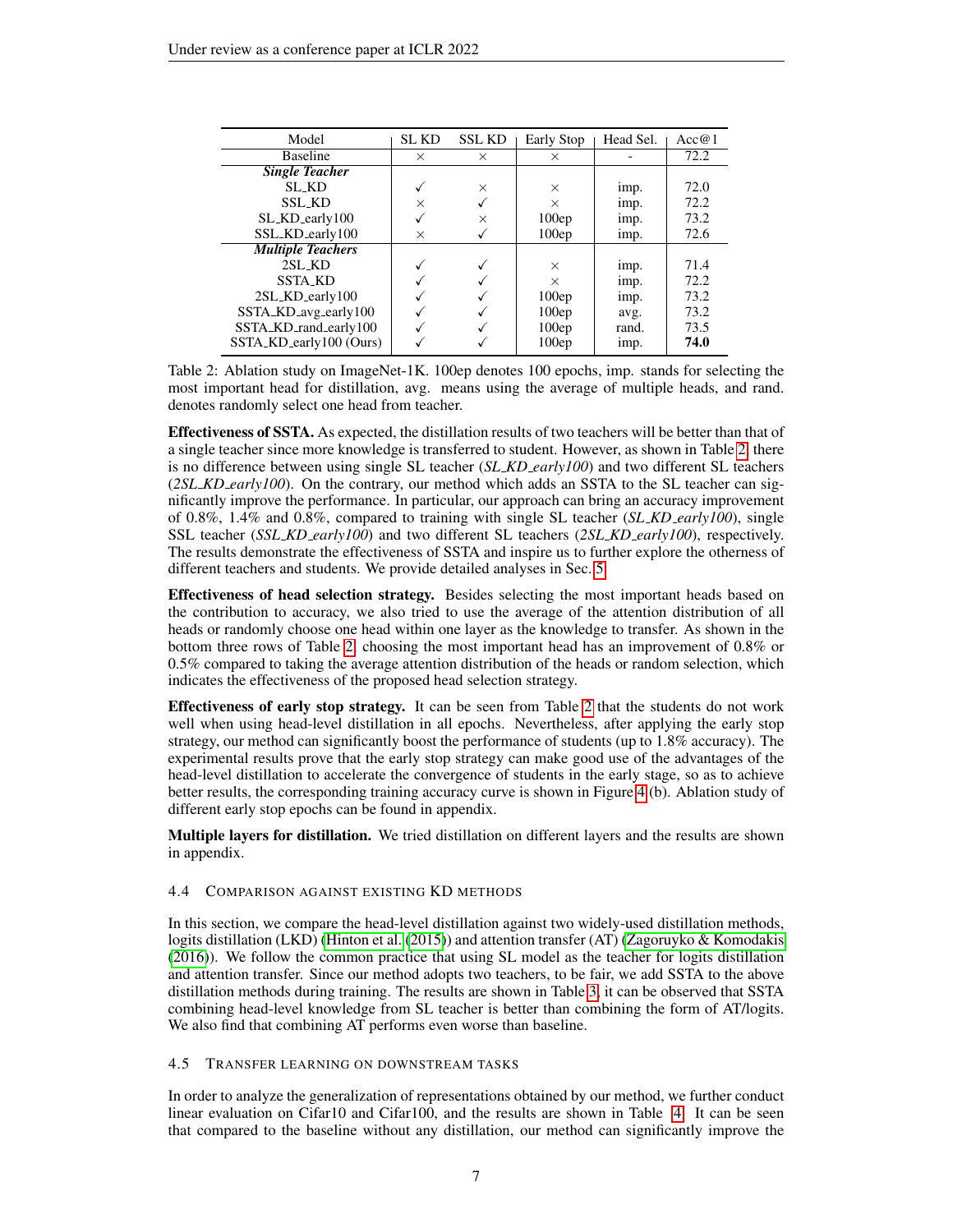| Model                    | <b>SL KD</b> | <b>SSL KD</b> | Early Stop | Head Sel. | Acc@1 |
|--------------------------|--------------|---------------|------------|-----------|-------|
| <b>Baseline</b>          | $\times$     | $\times$      | X          |           | 72.2  |
| <b>Single Teacher</b>    |              |               |            |           |       |
| SL_KD                    |              | $\times$      | X          | imp.      | 72.0  |
| <b>SSL_KD</b>            | $\times$     |               | X          | imp.      | 72.2  |
| SL_KD_early100           |              | X             | 100ep      | imp.      | 73.2  |
| SSL_KD_early100          | $\times$     |               | 100ep      | imp.      | 72.6  |
| <b>Multiple Teachers</b> |              |               |            |           |       |
| 2SL_KD                   |              |               | X          | imp.      | 71.4  |
| <b>SSTA_KD</b>           |              |               | $\times$   | imp.      | 72.2  |
| 2SL_KD_early100          |              |               | 100ep      | imp.      | 73.2  |
| SSTA_KD_avg_early100     |              |               | 100ep      | avg.      | 73.2  |
| SSTA_KD_rand_early100    |              |               | 100ep      | rand.     | 73.5  |
| SSTA_KD_early100 (Ours)  |              |               | 100ep      | imp.      | 74.0  |

<span id="page-6-0"></span>Table 2: Ablation study on ImageNet-1K. 100ep denotes 100 epochs, imp. stands for selecting the most important head for distillation, avg. means using the average of multiple heads, and rand. denotes randomly select one head from teacher.

Effectiveness of SSTA. As expected, the distillation results of two teachers will be better than that of a single teacher since more knowledge is transferred to student. However, as shown in Table [2,](#page-6-0) there is no difference between using single SL teacher (*SL KD early100*) and two different SL teachers (*2SL KD early100*). On the contrary, our method which adds an SSTA to the SL teacher can significantly improve the performance. In particular, our approach can bring an accuracy improvement of 0.8%, 1.4% and 0.8%, compared to training with single SL teacher (*SL KD early100*), single SSL teacher (*SSL KD early100*) and two different SL teachers (*2SL KD early100*), respectively. The results demonstrate the effectiveness of SSTA and inspire us to further explore the otherness of different teachers and students. We provide detailed analyses in Sec. [5.](#page-7-0)

Effectiveness of head selection strategy. Besides selecting the most important heads based on the contribution to accuracy, we also tried to use the average of the attention distribution of all heads or randomly choose one head within one layer as the knowledge to transfer. As shown in the bottom three rows of Table [2,](#page-6-0) choosing the most important head has an improvement of 0.8% or 0.5% compared to taking the average attention distribution of the heads or random selection, which indicates the effectiveness of the proposed head selection strategy.

Effectiveness of early stop strategy. It can be seen from Table [2](#page-6-0) that the students do not work well when using head-level distillation in all epochs. Nevertheless, after applying the early stop strategy, our method can significantly boost the performance of students (up to 1.8% accuracy). The experimental results prove that the early stop strategy can make good use of the advantages of the head-level distillation to accelerate the convergence of students in the early stage, so as to achieve better results, the corresponding training accuracy curve is shown in Figure [4](#page-5-0) (b). Ablation study of different early stop epochs can be found in appendix.

Multiple layers for distillation. We tried distillation on different layers and the results are shown in appendix.

## 4.4 COMPARISON AGAINST EXISTING KD METHODS

In this section, we compare the head-level distillation against two widely-used distillation methods, logits distillation (LKD) [\(Hinton et al.](#page-9-5) [\(2015\)](#page-9-5)) and attention transfer (AT) [\(Zagoruyko & Komodakis](#page-10-4) [\(2016\)](#page-10-4)). We follow the common practice that using SL model as the teacher for logits distillation and attention transfer. Since our method adopts two teachers, to be fair, we add SSTA to the above distillation methods during training. The results are shown in Table [3,](#page-7-1) it can be observed that SSTA combining head-level knowledge from SL teacher is better than combining the form of AT/logits. We also find that combining AT performs even worse than baseline.

## 4.5 TRANSFER LEARNING ON DOWNSTREAM TASKS

In order to analyze the generalization of representations obtained by our method, we further conduct linear evaluation on Cifar10 and Cifar100, and the results are shown in Table [4.](#page-7-2) It can be seen that compared to the baseline without any distillation, our method can significantly improve the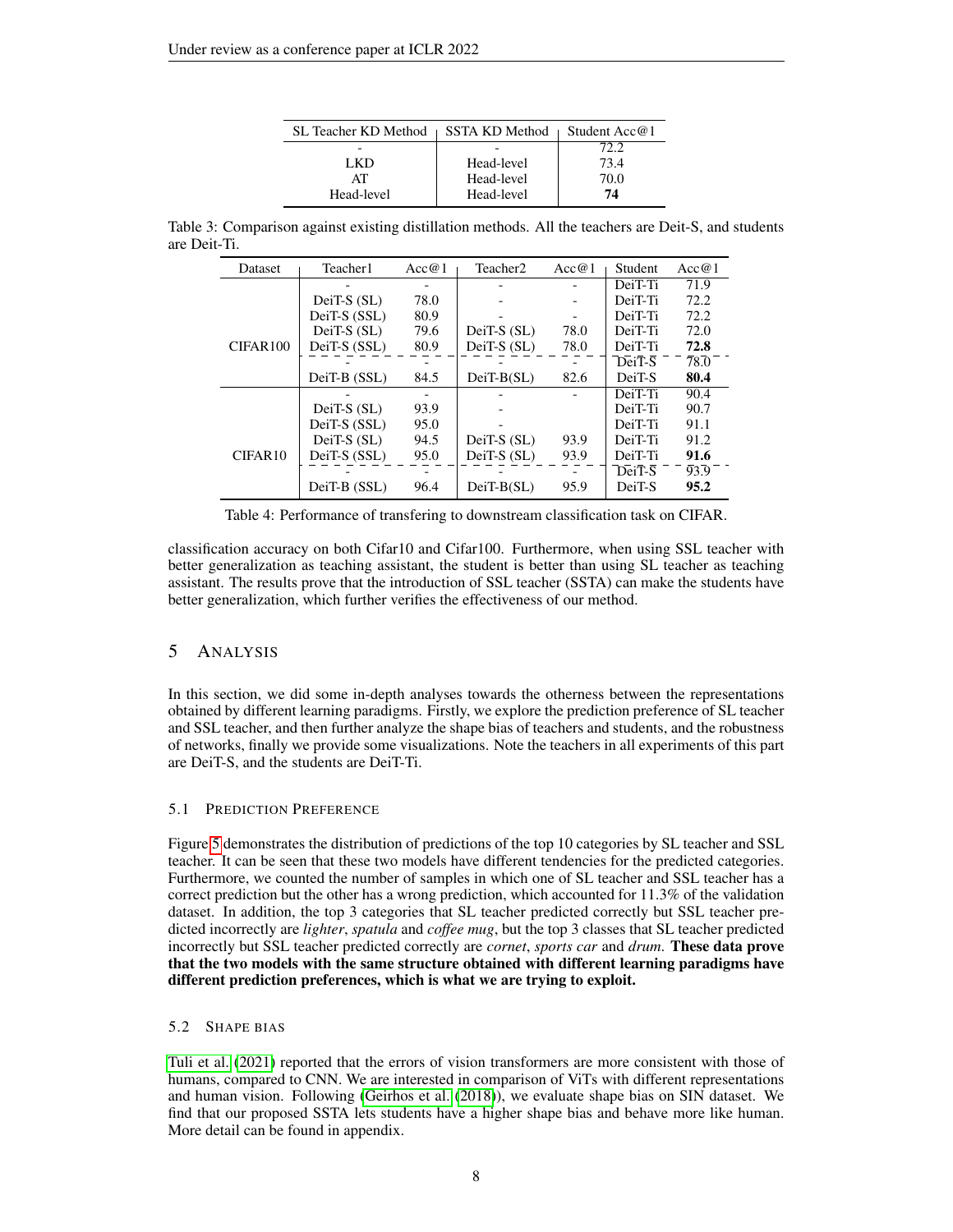| <b>SL Teacher KD Method</b> | SSTA KD Method | Student Acc@1 |
|-----------------------------|----------------|---------------|
|                             |                | 72.2          |
| LKD.                        | Head-level     | 73.4          |
| AT                          | Head-level     | 70.0          |
| Head-level                  | Head-level     | 74            |

Table 3: Comparison against existing distillation methods. All the teachers are Deit-S, and students are Deit-Ti.

<span id="page-7-1"></span>

| <b>Dataset</b> | Teacher1     | Acc@1 | Teacher2      | Acc@1 | Student | Acc@1              |
|----------------|--------------|-------|---------------|-------|---------|--------------------|
|                |              |       |               |       | DeiT-Ti | 71.9               |
|                | DeiT-S (SL)  | 78.0  |               |       | DeiT-Ti | 72.2               |
|                | DeiT-S (SSL) | 80.9  |               |       | DeiT-Ti | 72.2               |
|                | $DeiT-S(SL)$ | 79.6  | $DeiT-S(SL)$  | 78.0  | DeiT-Ti | 72.0               |
| CIFAR100       | DeiT-S (SSL) | 80.9  | DeiT-S (SL)   | 78.0  | DeiT-Ti | 72.8               |
|                |              |       |               |       | DeiT-S  | $\bar{7}8\bar{.}0$ |
|                | DeiT-B (SSL) | 84.5  | $DeiT-B(SL)$  | 82.6  | DeiT-S  | 80.4               |
|                |              |       |               |       | DeiT-Ti | 90.4               |
|                | DeiT-S (SL)  | 93.9  |               |       | DeiT-Ti | 90.7               |
|                | DeiT-S (SSL) | 95.0  |               |       | DeiT-Ti | 91.1               |
|                | $DeiT-S(SL)$ | 94.5  | $DeiT-S(SL)$  | 93.9  | DeiT-Ti | 91.2               |
| CIFAR10        | DeiT-S (SSL) | 95.0  | DeiT-S $(SL)$ | 93.9  | DeiT-Ti | 91.6               |
|                |              |       |               |       | DeiT-S  | 93.9               |
|                | DeiT-B (SSL) | 96.4  | $DeiT-B(SL)$  | 95.9  | DeiT-S  | 95.2               |

<span id="page-7-2"></span>Table 4: Performance of transfering to downstream classification task on CIFAR.

classification accuracy on both Cifar10 and Cifar100. Furthermore, when using SSL teacher with better generalization as teaching assistant, the student is better than using SL teacher as teaching assistant. The results prove that the introduction of SSL teacher (SSTA) can make the students have better generalization, which further verifies the effectiveness of our method.

# <span id="page-7-0"></span>5 ANALYSIS

In this section, we did some in-depth analyses towards the otherness between the representations obtained by different learning paradigms. Firstly, we explore the prediction preference of SL teacher and SSL teacher, and then further analyze the shape bias of teachers and students, and the robustness of networks, finally we provide some visualizations. Note the teachers in all experiments of this part are DeiT-S, and the students are DeiT-Ti.

# 5.1 PREDICTION PREFERENCE

Figure [5](#page-8-0) demonstrates the distribution of predictions of the top 10 categories by SL teacher and SSL teacher. It can be seen that these two models have different tendencies for the predicted categories. Furthermore, we counted the number of samples in which one of SL teacher and SSL teacher has a correct prediction but the other has a wrong prediction, which accounted for 11.3% of the validation dataset. In addition, the top 3 categories that SL teacher predicted correctly but SSL teacher predicted incorrectly are *lighter*, *spatula* and *coffee mug*, but the top 3 classes that SL teacher predicted incorrectly but SSL teacher predicted correctly are *cornet*, *sports car* and *drum*. These data prove that the two models with the same structure obtained with different learning paradigms have different prediction preferences, which is what we are trying to exploit.

# 5.2 SHAPE BIAS

[Tuli et al.](#page-10-11) [\(2021\)](#page-10-11) reported that the errors of vision transformers are more consistent with those of humans, compared to CNN. We are interested in comparison of ViTs with different representations and human vision. Following [\(Geirhos et al.](#page-9-15) [\(2018\)](#page-9-15)), we evaluate shape bias on SIN dataset. We find that our proposed SSTA lets students have a higher shape bias and behave more like human. More detail can be found in appendix.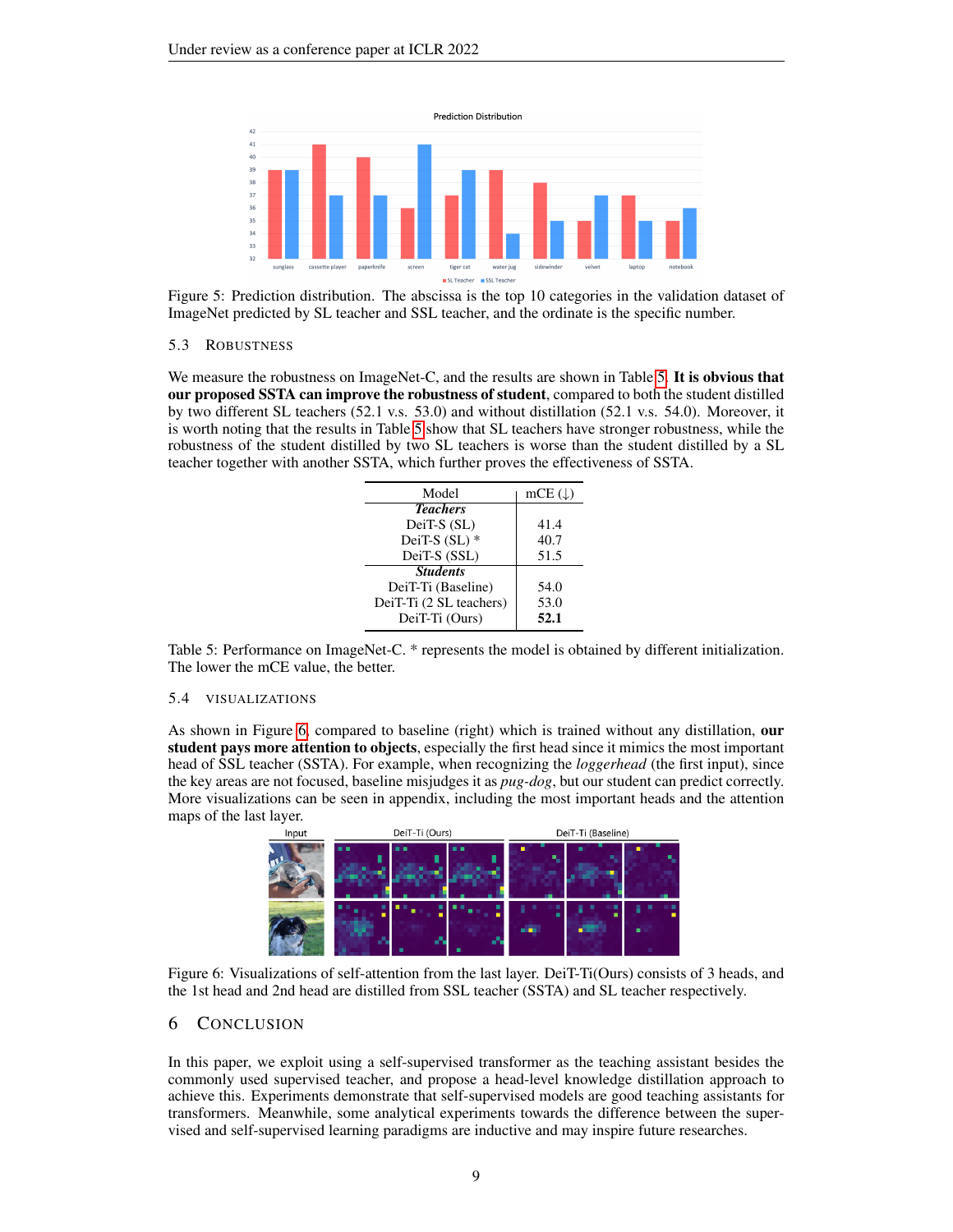

<span id="page-8-0"></span>Figure 5: Prediction distribution. The abscissa is the top 10 categories in the validation dataset of ImageNet predicted by SL teacher and SSL teacher, and the ordinate is the specific number.

## 5.3 ROBUSTNESS

We measure the robustness on ImageNet-C, and the results are shown in Table [5.](#page-8-1) It is obvious that our proposed SSTA can improve the robustness of student, compared to both the student distilled by two different SL teachers (52.1 v.s. 53.0) and without distillation (52.1 v.s. 54.0). Moreover, it is worth noting that the results in Table [5](#page-8-1) show that SL teachers have stronger robustness, while the robustness of the student distilled by two SL teachers is worse than the student distilled by a SL teacher together with another SSTA, which further proves the effectiveness of SSTA.

| Model                   | mCE $( \downarrow )$ |  |
|-------------------------|----------------------|--|
| <b>Teachers</b>         |                      |  |
| DeiT-S (SL)             | 41.4                 |  |
| DeiT-S $(SL)$ *         | 40.7                 |  |
| DeiT-S (SSL)            | 51.5                 |  |
| <b>Students</b>         |                      |  |
| DeiT-Ti (Baseline)      | 54.0                 |  |
| DeiT-Ti (2 SL teachers) | 53.0                 |  |
| DeiT-Ti (Ours)          | 52.1                 |  |

<span id="page-8-1"></span>Table 5: Performance on ImageNet-C. \* represents the model is obtained by different initialization. The lower the mCE value, the better.

## 5.4 VISUALIZATIONS

As shown in Figure [6,](#page-8-2) compared to baseline (right) which is trained without any distillation, our student pays more attention to objects, especially the first head since it mimics the most important head of SSL teacher (SSTA). For example, when recognizing the *loggerhead* (the first input), since the key areas are not focused, baseline misjudges it as *pug-dog*, but our student can predict correctly. More visualizations can be seen in appendix, including the most important heads and the attention maps of the last layer.



<span id="page-8-2"></span>Figure 6: Visualizations of self-attention from the last layer. DeiT-Ti(Ours) consists of 3 heads, and the 1st head and 2nd head are distilled from SSL teacher (SSTA) and SL teacher respectively.

# 6 CONCLUSION

In this paper, we exploit using a self-supervised transformer as the teaching assistant besides the commonly used supervised teacher, and propose a head-level knowledge distillation approach to achieve this. Experiments demonstrate that self-supervised models are good teaching assistants for transformers. Meanwhile, some analytical experiments towards the difference between the supervised and self-supervised learning paradigms are inductive and may inspire future researches.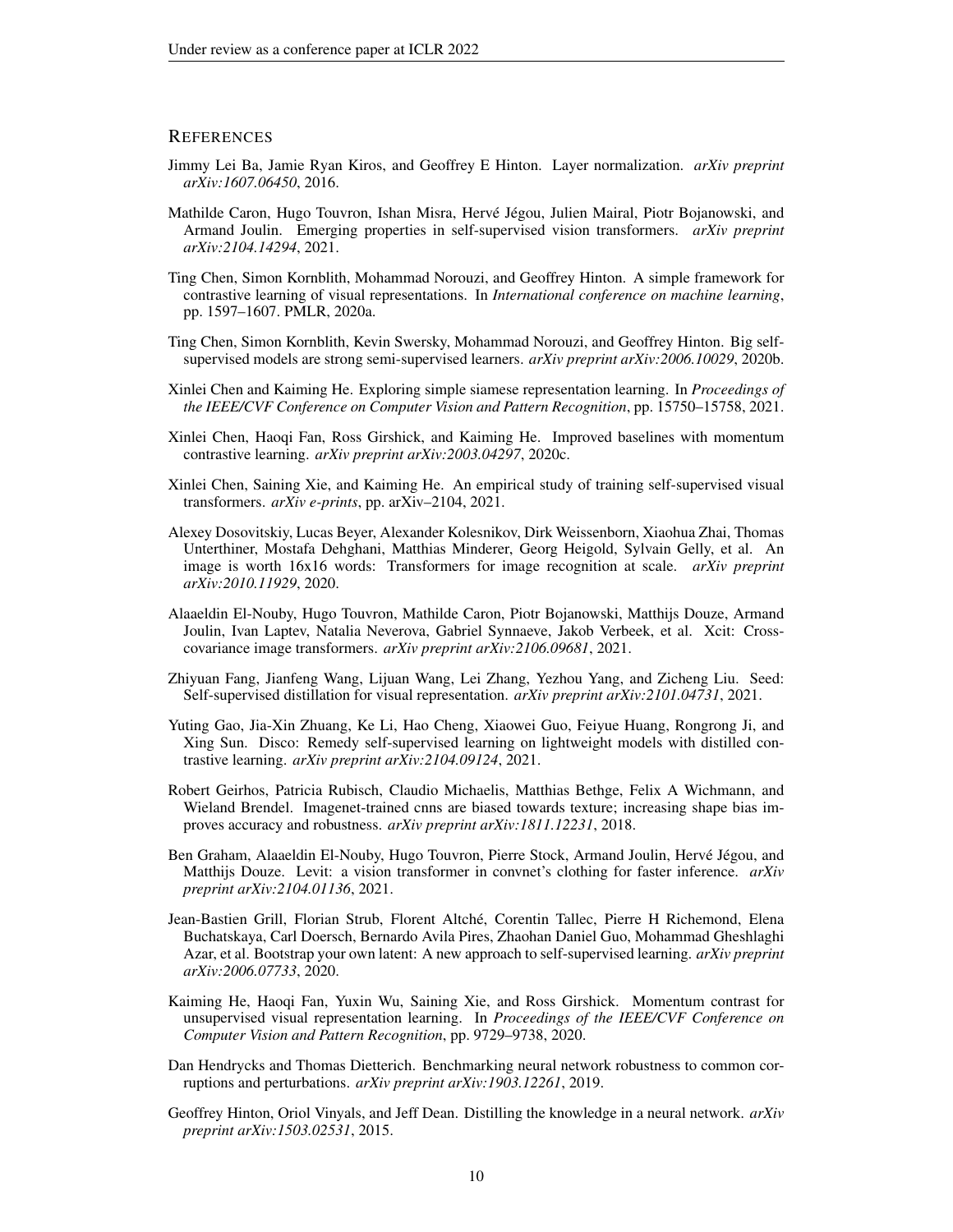## **REFERENCES**

- <span id="page-9-13"></span>Jimmy Lei Ba, Jamie Ryan Kiros, and Geoffrey E Hinton. Layer normalization. *arXiv preprint arXiv:1607.06450*, 2016.
- <span id="page-9-2"></span>Mathilde Caron, Hugo Touvron, Ishan Misra, Hervé Jégou, Julien Mairal, Piotr Bojanowski, and Armand Joulin. Emerging properties in self-supervised vision transformers. *arXiv preprint arXiv:2104.14294*, 2021.
- <span id="page-9-6"></span>Ting Chen, Simon Kornblith, Mohammad Norouzi, and Geoffrey Hinton. A simple framework for contrastive learning of visual representations. In *International conference on machine learning*, pp. 1597–1607. PMLR, 2020a.
- <span id="page-9-7"></span>Ting Chen, Simon Kornblith, Kevin Swersky, Mohammad Norouzi, and Geoffrey Hinton. Big selfsupervised models are strong semi-supervised learners. *arXiv preprint arXiv:2006.10029*, 2020b.
- <span id="page-9-11"></span>Xinlei Chen and Kaiming He. Exploring simple siamese representation learning. In *Proceedings of the IEEE/CVF Conference on Computer Vision and Pattern Recognition*, pp. 15750–15758, 2021.
- <span id="page-9-9"></span>Xinlei Chen, Haoqi Fan, Ross Girshick, and Kaiming He. Improved baselines with momentum contrastive learning. *arXiv preprint arXiv:2003.04297*, 2020c.
- <span id="page-9-1"></span>Xinlei Chen, Saining Xie, and Kaiming He. An empirical study of training self-supervised visual transformers. *arXiv e-prints*, pp. arXiv–2104, 2021.
- <span id="page-9-0"></span>Alexey Dosovitskiy, Lucas Beyer, Alexander Kolesnikov, Dirk Weissenborn, Xiaohua Zhai, Thomas Unterthiner, Mostafa Dehghani, Matthias Minderer, Georg Heigold, Sylvain Gelly, et al. An image is worth 16x16 words: Transformers for image recognition at scale. *arXiv preprint arXiv:2010.11929*, 2020.
- <span id="page-9-3"></span>Alaaeldin El-Nouby, Hugo Touvron, Mathilde Caron, Piotr Bojanowski, Matthijs Douze, Armand Joulin, Ivan Laptev, Natalia Neverova, Gabriel Synnaeve, Jakob Verbeek, et al. Xcit: Crosscovariance image transformers. *arXiv preprint arXiv:2106.09681*, 2021.
- <span id="page-9-12"></span>Zhiyuan Fang, Jianfeng Wang, Lijuan Wang, Lei Zhang, Yezhou Yang, and Zicheng Liu. Seed: Self-supervised distillation for visual representation. *arXiv preprint arXiv:2101.04731*, 2021.
- <span id="page-9-16"></span>Yuting Gao, Jia-Xin Zhuang, Ke Li, Hao Cheng, Xiaowei Guo, Feiyue Huang, Rongrong Ji, and Xing Sun. Disco: Remedy self-supervised learning on lightweight models with distilled contrastive learning. *arXiv preprint arXiv:2104.09124*, 2021.
- <span id="page-9-15"></span>Robert Geirhos, Patricia Rubisch, Claudio Michaelis, Matthias Bethge, Felix A Wichmann, and Wieland Brendel. Imagenet-trained cnns are biased towards texture; increasing shape bias improves accuracy and robustness. *arXiv preprint arXiv:1811.12231*, 2018.
- <span id="page-9-4"></span>Ben Graham, Alaaeldin El-Nouby, Hugo Touvron, Pierre Stock, Armand Joulin, Hervé Jégou, and Matthijs Douze. Levit: a vision transformer in convnet's clothing for faster inference. *arXiv preprint arXiv:2104.01136*, 2021.
- <span id="page-9-10"></span>Jean-Bastien Grill, Florian Strub, Florent Altche, Corentin Tallec, Pierre H Richemond, Elena ´ Buchatskaya, Carl Doersch, Bernardo Avila Pires, Zhaohan Daniel Guo, Mohammad Gheshlaghi Azar, et al. Bootstrap your own latent: A new approach to self-supervised learning. *arXiv preprint arXiv:2006.07733*, 2020.
- <span id="page-9-8"></span>Kaiming He, Haoqi Fan, Yuxin Wu, Saining Xie, and Ross Girshick. Momentum contrast for unsupervised visual representation learning. In *Proceedings of the IEEE/CVF Conference on Computer Vision and Pattern Recognition*, pp. 9729–9738, 2020.
- <span id="page-9-14"></span>Dan Hendrycks and Thomas Dietterich. Benchmarking neural network robustness to common corruptions and perturbations. *arXiv preprint arXiv:1903.12261*, 2019.
- <span id="page-9-5"></span>Geoffrey Hinton, Oriol Vinyals, and Jeff Dean. Distilling the knowledge in a neural network. *arXiv preprint arXiv:1503.02531*, 2015.